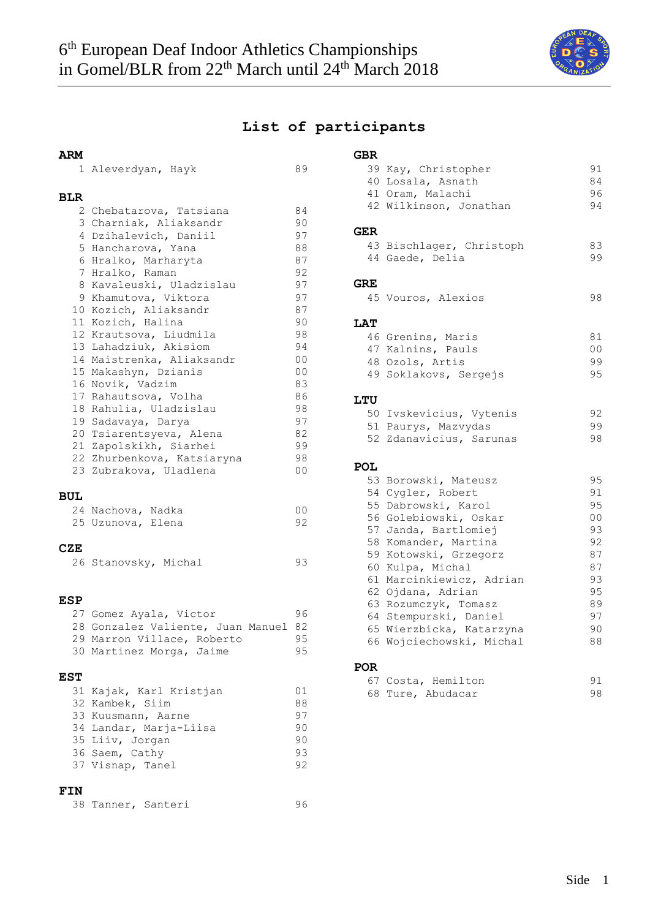

## **List of participants**

| ARM        |                                      |                |
|------------|--------------------------------------|----------------|
|            | 1 Aleverdyan, Hayk                   | 89             |
|            |                                      |                |
| BLR        |                                      |                |
|            | 2 Chebatarova, Tatsiana              | 84             |
|            | 3 Charniak, Aliaksandr               | 90             |
|            | 4 Dzihalevich, Daniil                | 97             |
|            | 5 Hancharova, Yana                   | 88             |
|            | 6 Hralko, Marharyta                  | 87             |
|            | 7 Hralko, Raman                      | 92             |
|            | 8 Kavaleuski, Uladzislau             | 97             |
|            | 9 Khamutova, Viktora                 | 97             |
|            | 10 Kozich, Aliaksandr                | 87             |
|            | 11 Kozich, Halina                    | 90             |
|            | 12 Krautsova, Liudmila               | 98             |
|            | 13 Lahadziuk, Akisiom                | 94             |
|            | 14 Maistrenka, Aliaksandr            | 00             |
|            | 15 Makashyn, Dzianis                 | 00             |
|            | 16 Novik, Vadzim                     | 83             |
|            | 17 Rahautsova, Volha                 | 86             |
|            | 18 Rahulia, Uladzislau               | 98             |
|            | 19 Sadavaya, Darya                   | 97             |
|            | 20 Tsiarentsyeva, Alena              | 82             |
|            | 21 Zapolskikh, Siarhei               | 99             |
|            | 22 Zhurbenkova, Katsiaryna           | 98             |
|            | 23 Zubrakova, Uladlena               | 0 <sub>0</sub> |
|            |                                      |                |
| BUL        |                                      |                |
|            | 24 Nachova, Nadka                    | 00             |
|            | 25 Uzunova, Elena                    | 92             |
| CZE        |                                      |                |
|            |                                      |                |
|            | 26 Stanovsky, Michal                 | 93             |
|            |                                      |                |
| ESP        |                                      |                |
|            | 27 Gomez Ayala, Victor               | 96             |
|            | 28 Gonzalez Valiente, Juan Manuel 82 |                |
|            | 29 Marron Villace, Roberto           | 95             |
|            | 30 Martinez Morga, Jaime             | 95             |
|            |                                      |                |
| <b>EST</b> |                                      |                |
|            | 31 Kajak, Karl Kristjan              | 01             |
|            | 32 Kambek, Siim                      | 88             |
|            | 33 Kuusmann, Aarne                   | 97             |
|            | 34 Landar, Marja-Liisa               | 90             |
|            | 35 Liiv, Jorgan                      | 90             |
|            | 36 Saem, Cathy                       | 93             |
|            | 37 Visnap, Tanel                     | 92             |
|            |                                      |                |

### **FIN**

|  |  | 96 |
|--|--|----|

# **GBR**

|            | 39 Kay, Christopher                               | 91             |
|------------|---------------------------------------------------|----------------|
|            | 40 Losala, Asnath                                 | 84             |
|            | 41 Oram, Malachi                                  | 96             |
|            | 42 Wilkinson, Jonathan                            | 94             |
| <b>GER</b> |                                                   |                |
|            | 43 Bischlager, Christoph                          | 83             |
|            | 44 Gaede, Delia                                   | 99             |
| GRE        |                                                   |                |
|            | 45 Vouros, Alexios                                | 98             |
| <b>LAT</b> |                                                   |                |
|            | 46 Grenins, Maris                                 | 81             |
|            | 47 Kalnins, Pauls                                 | 0 <sub>0</sub> |
|            | 48 Ozols, Artis                                   | 99             |
|            | 49 Soklakovs, Sergejs                             | 95             |
| <b>LTU</b> |                                                   |                |
|            | 50 Ivskevicius, Vytenis                           | 92             |
|            | 51 Paurys, Mazvydas                               | 99             |
|            | 52 Zdanavicius, Sarunas                           | 98             |
| POL        |                                                   |                |
|            | 53 Borowski, Mateusz                              | 95             |
|            | 54 Cygler, Robert                                 | 91             |
|            | 55 Dabrowski, Karol                               | 95             |
|            | 56 Golebiowski, Oskar                             | 0 <sub>0</sub> |
|            | 57 Janda, Bartlomiej                              | 93             |
|            | 58 Komander, Martina                              | 92             |
|            | 59 Kotowski, Grzegorz                             | 87             |
|            | 60 Kulpa, Michal<br>61 Marcinkiewicz, Adrian      | 87<br>93       |
|            | 62 Ojdana, Adrian                                 | 95             |
|            | 63 Rozumczyk, Tomasz                              | 89             |
|            |                                                   | 97             |
|            | 64 Stempurski, Daniel<br>65 Wierzbicka, Katarzyna | 90             |
|            | 66 Wojciechowski, Michal                          | 88             |
|            |                                                   |                |

## **POR**

|  | 67 Costa, Hemilton | 91 |  |
|--|--------------------|----|--|
|  | 68 Ture, Abudacar  | 98 |  |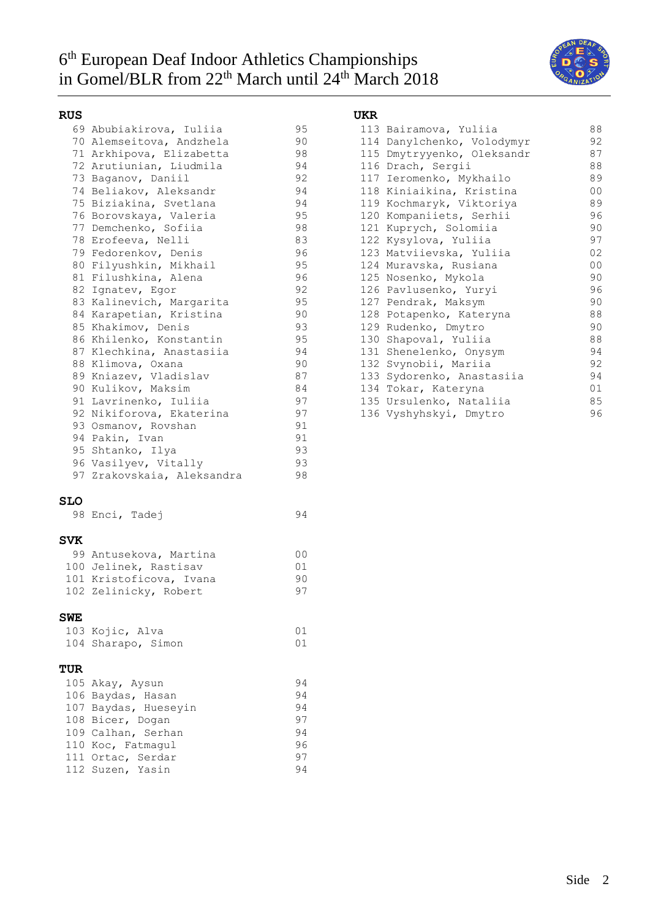# 6 th European Deaf Indoor Athletics Championships in Gomel/BLR from 22<sup>th</sup> March until 24<sup>th</sup> March 2018



### **RUS**

|  | 69 Abubiakirova, Iuliia    | 95 |
|--|----------------------------|----|
|  | 70 Alemseitova, Andzhela   | 90 |
|  | 71 Arkhipova, Elizabetta   | 98 |
|  | 72 Arutiunian, Liudmila    | 94 |
|  | 73 Baganov, Daniil         | 92 |
|  | 74 Beliakov, Aleksandr     | 94 |
|  | 75 Biziakina, Svetlana     | 94 |
|  | 76 Borovskaya, Valeria     | 95 |
|  | 77 Demchenko, Sofiia       | 98 |
|  | 78 Erofeeva, Nelli         | 83 |
|  | 79 Fedorenkov, Denis       | 96 |
|  | 80 Filyushkin, Mikhail     | 95 |
|  | 81 Filushkina, Alena       | 96 |
|  | 82 Ignatev, Egor           | 92 |
|  | 83 Kalinevich, Margarita   | 95 |
|  | 84 Karapetian, Kristina    | 90 |
|  | 85 Khakimov, Denis         | 93 |
|  | 86 Khilenko, Konstantin    | 95 |
|  | 87 Klechkina, Anastasiia   | 94 |
|  | 88 Klimova, Oxana          | 90 |
|  | 89 Kniazev, Vladislav      | 87 |
|  | 90 Kulikov, Maksim         | 84 |
|  | 91 Lavrinenko, Iuliia      | 97 |
|  | 92 Nikiforova, Ekaterina   | 97 |
|  | 93 Osmanov, Rovshan        | 91 |
|  | 94 Pakin, Ivan             | 91 |
|  | 95 Shtanko, Ilya           | 93 |
|  | 96 Vasilyev, Vitally       | 93 |
|  | 97 Zrakovskaia, Aleksandra | 98 |

### **SLO**

|  | 98 Enci, Tadej | 94 |  |
|--|----------------|----|--|
|  |                |    |  |

#### **SVK**

| 99 Antusekova, Martina  | n n |
|-------------------------|-----|
| 100 Jelinek, Rastisav   | O 1 |
| 101 Kristoficova, Ivana | 90. |
| 102 Zelinicky, Robert   | 97  |

### **SWE**

| 103 Kojic, Alva    |  |
|--------------------|--|
| 104 Sharapo, Simon |  |

### **TUR**

| 105 Akay, Aysun      | 94 |
|----------------------|----|
| 106 Baydas, Hasan    | 94 |
| 107 Baydas, Hueseyin | 94 |
| 108 Bicer, Dogan     | 97 |
| 109 Calhan, Serhan   | 94 |
| 110 Koc, Fatmagul    | 96 |
| 111 Ortac, Serdar    | 97 |
| 112 Suzen, Yasin     | 94 |

## **UKR**

|  | 113 Bairamova, Yuliia      | 88             |
|--|----------------------------|----------------|
|  | 114 Danylchenko, Volodymyr | 92             |
|  | 115 Dmytryyenko, Oleksandr | 87             |
|  | 116 Drach, Sergii          | 88             |
|  | 117 Ieromenko, Mykhailo    | 89             |
|  | 118 Kiniaikina, Kristina   | 0 <sup>0</sup> |
|  | 119 Kochmaryk, Viktoriya   | 89             |
|  | 120 Kompaniiets, Serhii    | 96             |
|  | 121 Kuprych, Solomiia      | 90             |
|  | 122 Kysylova, Yuliia       | 97             |
|  | 123 Matviievska, Yuliia    | 02             |
|  | 124 Muravska, Rusiana      | 00             |
|  | 125 Nosenko, Mykola        | 90             |
|  | 126 Pavlusenko, Yuryi      | 96             |
|  | 127 Pendrak, Maksym        | 90             |
|  | 128 Potapenko, Kateryna    | 88             |
|  | 129 Rudenko, Dmytro        | 90             |
|  | 130 Shapoval, Yuliia       | 88             |
|  | 131 Shenelenko, Onysym     | 94             |
|  | 132 Svynobii, Mariia       | 92             |
|  | 133 Sydorenko, Anastasiia  | 94             |
|  | 134 Tokar, Kateryna        | 01             |
|  | 135 Ursulenko, Nataliia    | 85             |
|  | 136 Vyshyhskyi, Dmytro     | 96             |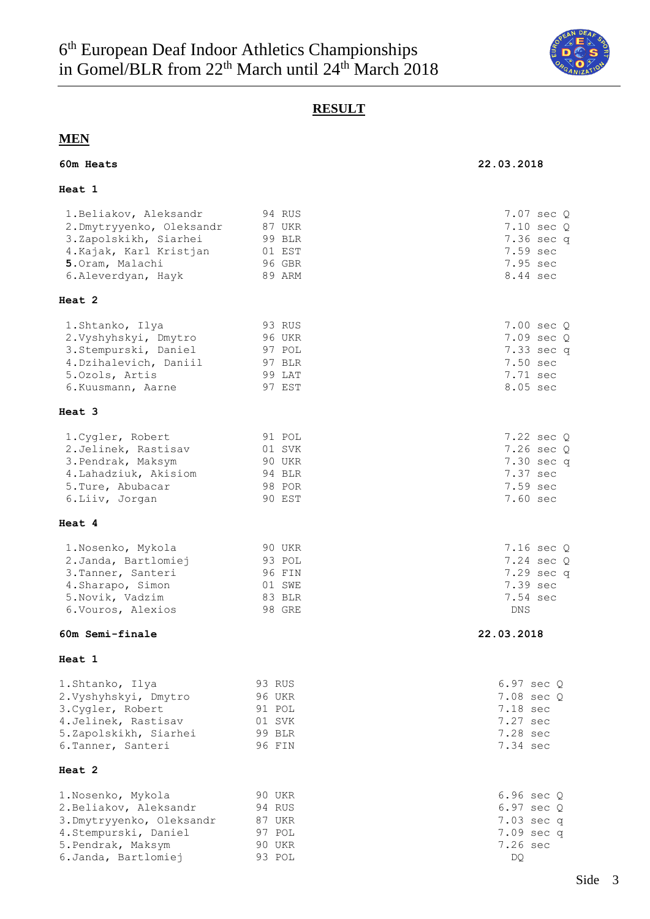

## **RESULT**

## **MEN**

### **60m Heats 22.03.2018**

### **Heat 1**

| 1. Beliakov, Aleksandr    | 94 RUS        | 7.07 sec Q            |
|---------------------------|---------------|-----------------------|
| 2.Dmytryyenko, Oleksandr  | 87 UKR        | $7.10 \text{ sec } Q$ |
| 3.Zapolskikh, Siarhei     | 99 BLR        | 7.36 sec q            |
| 4. Kajak, Karl Kristjan   | 01 EST        | 7.59 sec              |
| 5. Oram, Malachi          | 96 GBR        | 7.95 sec              |
| 6.Aleverdyan, Hayk        | 89 ARM        | 8.44 sec              |
| Heat 2                    |               |                       |
| 1.Shtanko, Ilya           | 93 RUS        | 7.00 sec Q            |
| 2.Vyshyhskyi, Dmytro      | 96 UKR        | 7.09 sec Q            |
| 3.Stempurski, Daniel      | 97 POL        | 7.33 sec q            |
| 4. Dzihalevich, Daniil    | 97 BLR        | 7.50 sec              |
| 5.0zols, Artis            | 99 LAT        | 7.71 sec              |
| 6. Kuusmann, Aarne        | 97 EST        | 8.05 sec              |
| Heat 3                    |               |                       |
| 1. Cygler, Robert         | 91 POL        | $7.22$ sec $Q$        |
| 2.Jelinek, Rastisav       | 01 SVK        | $7.26 \text{ sec } Q$ |
| 3. Pendrak, Maksym        | 90 UKR        | 7.30 sec q            |
| 4. Lahadziuk, Akisiom     | 94 BLR        | 7.37 sec              |
| 5. Ture, Abubacar         | 98 POR        | 7.59 sec              |
| 6.Liiv, Jorgan            | 90 EST        | 7.60 sec              |
| Heat 4                    |               |                       |
| 1. Nosenko, Mykola        | 90 UKR        | $7.16 \text{ sec } Q$ |
| 2. Janda, Bartlomiej      | 93 POL        | 7.24 sec Q            |
| 3. Tanner, Santeri        | 96 FIN        | 7.29 sec q            |
| 4. Sharapo, Simon         | 01 SWE        | 7.39 sec              |
| 5. Novik, Vadzim          | 83 BLR        | 7.54 sec              |
| 6. Vouros, Alexios        | 98 GRE        | <b>DNS</b>            |
| 60m Semi-finale           |               | 22.03.2018            |
| Heat 1                    |               |                       |
| 1.Shtanko, Ilya           | 93 RUS        | $6.97 \text{ sec } Q$ |
| 2.Vyshyhskyi, Dmytro      | <b>96 UKR</b> | 7.08 sec Q            |
| 3. Cygler, Robert         | 91 POL        | 7.18 sec              |
| 4. Jelinek, Rastisav      | 01 SVK        | 7.27 sec              |
| 5.Zapolskikh, Siarhei     | 99 BLR        | 7.28 sec              |
| 6. Tanner, Santeri        | 96 FIN        | 7.34 sec              |
| Heat 2                    |               |                       |
| 1.Nosenko, Mykola         | 90 UKR        | $6.96 \text{ sec } Q$ |
| 2. Beliakov, Aleksandr    | 94 RUS        | 6.97 sec Q            |
| 3. Dmytryyenko, Oleksandr | 87 UKR        | 7.03 sec q            |
| 4.Stempurski, Daniel      | 97 POL        | 7.09 sec q            |
| 5. Pendrak, Maksym        | 90 UKR        | 7.26 sec              |
| 6. Janda, Bartlomiej      | 93 POL        | DQ.                   |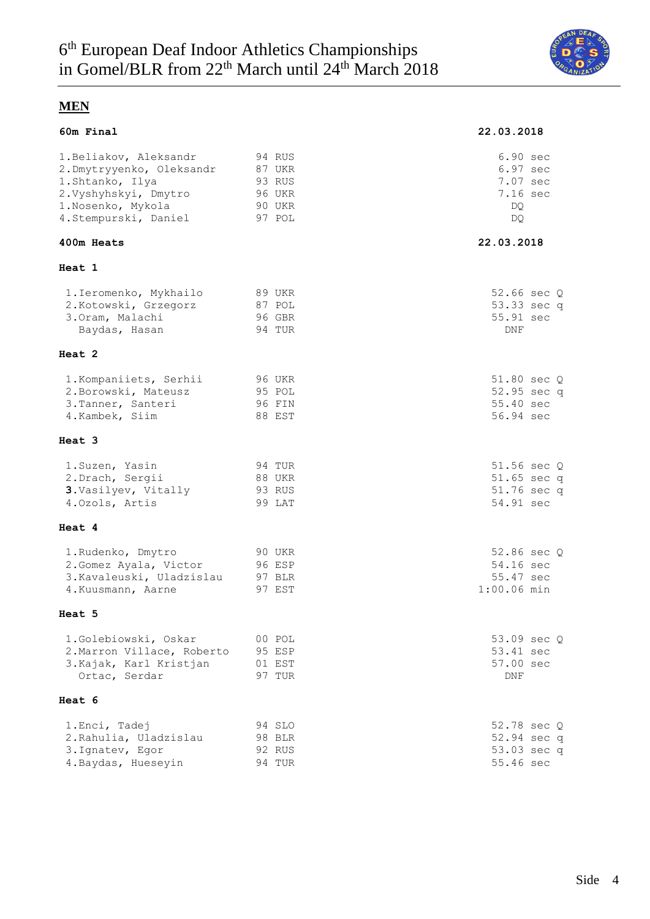

| 60m Final                                                                                                                                     |                                                          | 22.03.2018                                                 |
|-----------------------------------------------------------------------------------------------------------------------------------------------|----------------------------------------------------------|------------------------------------------------------------|
| 1. Beliakov, Aleksandr<br>2. Dmytryyenko, Oleksandr<br>1.Shtanko, Ilya<br>2. Vyshyhskyi, Dmytro<br>1. Nosenko, Mykola<br>4.Stempurski, Daniel | 94 RUS<br>87 UKR<br>93 RUS<br>96 UKR<br>90 UKR<br>97 POL | 6.90 sec<br>6.97 sec<br>7.07 sec<br>7.16 sec<br>DQ.<br>DO. |
| 400m Heats                                                                                                                                    |                                                          | 22.03.2018                                                 |
| Heat 1                                                                                                                                        |                                                          |                                                            |
| 1. Ieromenko, Mykhailo<br>2. Kotowski, Grzegorz<br>3.Oram, Malachi<br>Baydas, Hasan                                                           | 89 UKR<br>87 POL<br>96 GBR<br>94 TUR                     | 52.66 sec Q<br>53.33 sec q<br>55.91 sec<br>DNF             |
| Heat 2                                                                                                                                        |                                                          |                                                            |
| 1. Kompaniiets, Serhii<br>2. Borowski, Mateusz<br>3. Tanner, Santeri<br>4.Kambek, Siim                                                        | 96 UKR<br>95 POL<br>96 FIN<br>88 EST                     | 51.80 sec Q<br>52.95 sec q<br>55.40 sec<br>56.94 sec       |
| Heat 3                                                                                                                                        |                                                          |                                                            |
| 1. Suzen, Yasin<br>2. Drach, Sergii<br>3. Vasilyev, Vitally<br>4.0zols, Artis                                                                 | 94 TUR<br>88 UKR<br>93 RUS<br>99 LAT                     | 51.56 sec Q<br>$51.65$ sec q<br>51.76 sec q<br>54.91 sec   |
| Heat 4                                                                                                                                        |                                                          |                                                            |
| 1. Rudenko, Dmytro<br>2. Gomez Ayala, Victor<br>3. Kavaleuski, Uladzislau<br>4. Kuusmann, Aarne                                               | 90 UKR<br>96 ESP<br>97 BLR<br>97 EST                     | 52.86 sec Q<br>54.16 sec<br>55.47 sec<br>$1:00.06$ min     |
| Heat 5                                                                                                                                        |                                                          |                                                            |
| 1.Golebiowski, Oskar<br>2. Marron Villace, Roberto<br>3. Kajak, Karl Kristjan<br>Ortac, Serdar                                                | 00 POL<br>95 ESP<br>01 EST<br>97 TUR                     | 53.09 sec Q<br>53.41 sec<br>57.00 sec<br>DNF               |
| Heat 6                                                                                                                                        |                                                          |                                                            |
| 1. Enci, Tadej<br>2. Rahulia, Uladzislau<br>3. Ignatev, Egor<br>4. Baydas, Hueseyin                                                           | 94 SLO<br>98 BLR<br>92 RUS<br>94 TUR                     | 52.78 sec 0<br>52.94 sec q<br>53.03 sec q<br>55.46 sec     |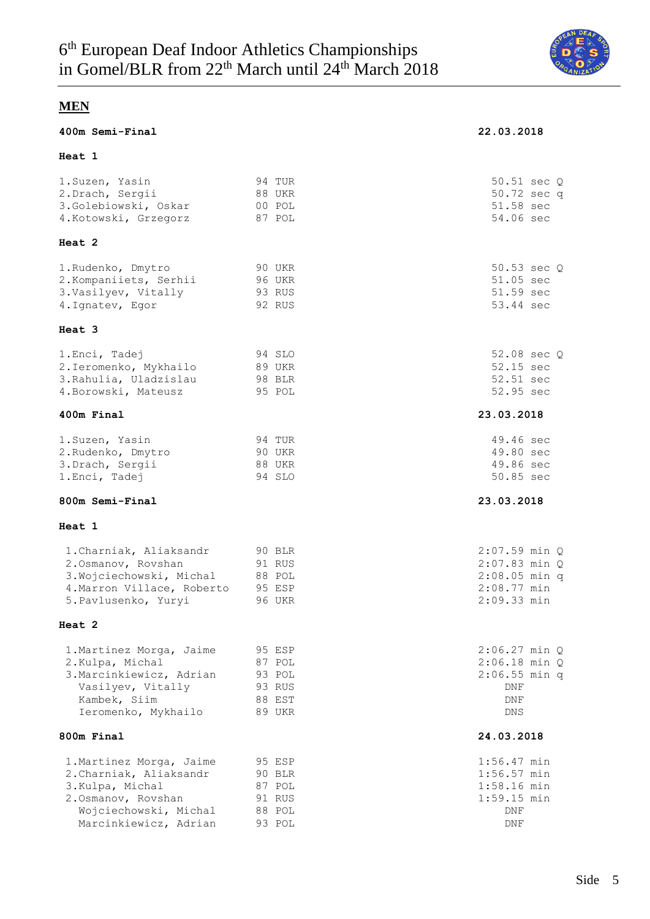

#### **400m Semi-Final 22.03.2018**

#### **Heat 1**

## 1.Suzen, Yasin 94 TUR 50.51 sec Q 2.Drach, Sergii 88 UKR 50.72 sec q 3.Golebiowski, Oskar 00 POL 51.58 sec 4.Kotowski, Grzegorz 87 POL 54.06 sec **Heat 2** 1.Rudenko, Dmytro 90 UKR 50.53 sec Q 2.Kompaniiets, Serhii 96 UKR 51.05 sec 3.Vasilyev, Vitally 51.59 sec 4.Ignatev, Egor 92 RUS 53.44 sec **Heat 3** 1.Enci, Tadej 94 SLO 52.08 sec Q 2.Ieromenko, Mykhailo 89 UKR 52.15 sec 3.Rahulia, Uladzislau 98 BLR 52.51 sec 4.Borowski, Mateusz 695 POL 52.95 sec **400m Final 23.03.2018** 1.Suzen, Yasin 94 TUR 49.46 sec 2.Rudenko, Dmytro 90 UKR 49.80 sec 3.Drach, Sergii 88 UKR 49.86 sec 1.Enci, Tadej 94 SLO 50.85 sec **800m Semi-Final 23.03.2018 Heat 1** 1.Charniak, Aliaksandr 90 BLR 2:07.59 min Q 2.Osmanov, Rovshan 91 RUS 2:07.83 min Q 3.Wojciechowski, Michal 88 POL 2:08.05 min q 4.Marron Villace, Roberto 95 ESP 2:08.77 min 5.Pavlusenko, Yuryi 96 UKR 2:09.33 min **Heat 2** 1. Martinez Morga, Jaime 95 ESP 2:06.27 min Q 2.Kulpa, Michal 87 POL 2:06.18 min Q 3.Marcinkiewicz, Adrian 93 POL 2:06.55 min q Vasilyev, Vitally 193 RUS 1998 - 1999 DNF Kambek, Siim 88 EST DNF Ieromenko, Mykhailo 89 UKR DNS **800m Final 24.03.2018** 1.Martinez Morga, Jaime 95 ESP 1:56.47 min 2.Charniak, Aliaksandr 90 BLR 1:56.57 min 3.Kulpa, Michal 87 POL 1:58.16 min

2.Osmanov, Rovshan 91 RUS 1:59.15 min Wojciechowski, Michal 88 POL DNF Marcinkiewicz, Adrian 93 POL DNF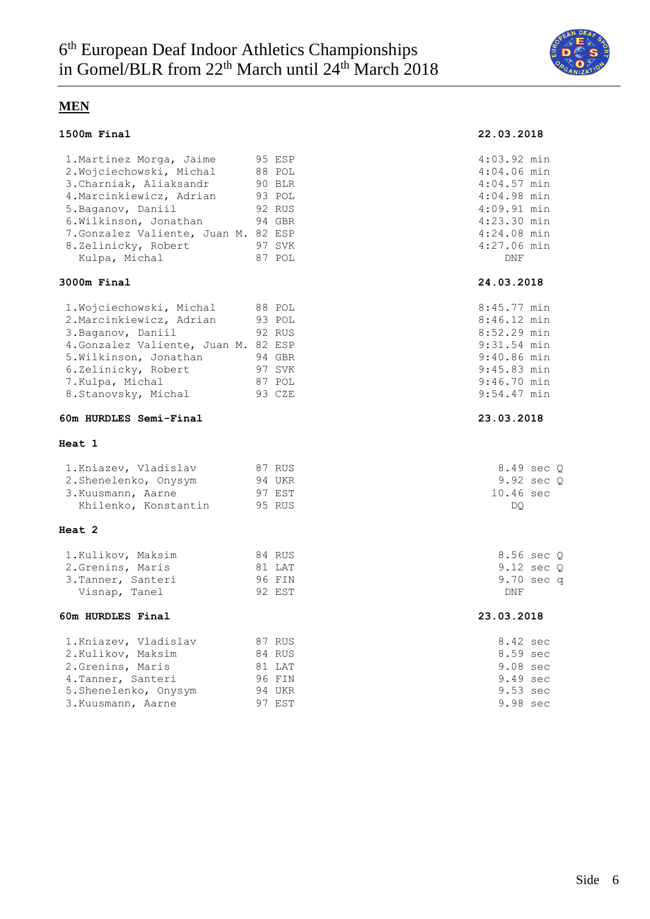

#### **1500m Final 22.03.2018**

| 1. Martinez Morga, Jaime             | 95 ESP | $4:03.92$ min |  |
|--------------------------------------|--------|---------------|--|
| 2. Wojciechowski, Michal             | 88 POL | $4:04.06$ min |  |
| 3. Charniak, Aliaksandr              | 90 BLR | 4:04.57 min   |  |
| 4. Marcinkiewicz, Adrian             | 93 POL | 4:04.98 min   |  |
| 5.Baganov, Daniil                    | 92 RUS | $4:09.91$ min |  |
| 6.Wilkinson, Jonathan                | 94 GBR | 4:23.30 min   |  |
| 7. Gonzalez Valiente, Juan M. 82 ESP |        | $4:24.08$ min |  |
| 8.Zelinicky, Robert                  | 97 SVK | 4:27.06 min   |  |
| Kulpa, Michal                        | 87 POL | DNF           |  |

### **3000m Final 24.03.2018**

|  | 8:45.77 min                                                                                                |  |
|--|------------------------------------------------------------------------------------------------------------|--|
|  | $8:46.12$ min                                                                                              |  |
|  | 8:52.29 min                                                                                                |  |
|  | 9:31.54 min                                                                                                |  |
|  | $9:40.86$ min                                                                                              |  |
|  | 9:45.83 min                                                                                                |  |
|  | $9:46.70$ min                                                                                              |  |
|  | $9:54.47$ min                                                                                              |  |
|  | 88 POL<br>93 POL<br>92 RUS<br>4. Gonzalez Valiente, Juan M. 82 ESP<br>94 GBR<br>97 SVK<br>87 POL<br>93 CZE |  |

#### **60m HURDLES Semi-Final 23.03.2018**

#### **Heat 1**

| 1.Kniazev, Vladislav | 87 RUS | 8.49 sec O          |
|----------------------|--------|---------------------|
| 2.Shenelenko, Onysym | 94 UKR | 9.92 sec 0          |
| 3. Kuusmann, Aarne   | 97 EST | $10.46 \text{ sec}$ |
| Khilenko, Konstantin | 95 RUS | DO                  |

#### **Heat 2**

| 1.Kulikov, Maksim | 84 RUS | 8.56       |
|-------------------|--------|------------|
| 2.Grenins, Maris  | 81 LAT | 9.12       |
| 3.Tanner, Santeri | 96 FIN | 9.70       |
| Visnap, Tanel     | 92 EST | <b>DNF</b> |

#### **60m HURDLES Final 23.03.2018**

| 1. Kniazev, Vladislav | 87 RUS | 8.42 sec           |
|-----------------------|--------|--------------------|
| 2.Kulikov, Maksim     | 84 RUS | 8.59 sec           |
| 2. Grenins, Maris     | 81 LAT | $9.08 \text{ sec}$ |
| 4. Tanner, Santeri    | 96 FIN | 9.49 sec           |
| 5.Shenelenko, Onysym  | 94 UKR | 9.53 sec           |
| 3. Kuusmann, Aarne    | 97 EST | 9.98 sec           |

| $4:03.92$ min |  |
|---------------|--|
| 4:04.06 min   |  |
| 4:04.57 min   |  |
| 4:04.98 min   |  |
| 4:09.91 min   |  |
| 4:23.30 min   |  |
| 4:24.08 min   |  |
| 4:27.06 min   |  |
| DNF           |  |
|               |  |

| 8:45.77 min   |  |
|---------------|--|
| $8:46.12$ min |  |
| $8:52.29$ min |  |
| 9:31.54 min   |  |
| 9:40.86 min   |  |
| 9:45.83 min   |  |
| $9:46.70$ min |  |
| $9:54.47$ min |  |

| 8.49 sec 0 |  |
|------------|--|
| 9.92 sec Q |  |
| 10.46 sec  |  |
| DO         |  |

 $1.56 \text{ sec } Q$  $9.12$  sec  $Q$  $\begin{array}{ccc} 3.70 & \text{sec} \text{q} \end{array}$ 

| 8.42 | sec |
|------|-----|
| 8.59 | sec |
| 9.08 | sec |
| 9.49 | sec |
| 9.53 | sec |
| 9.98 | sec |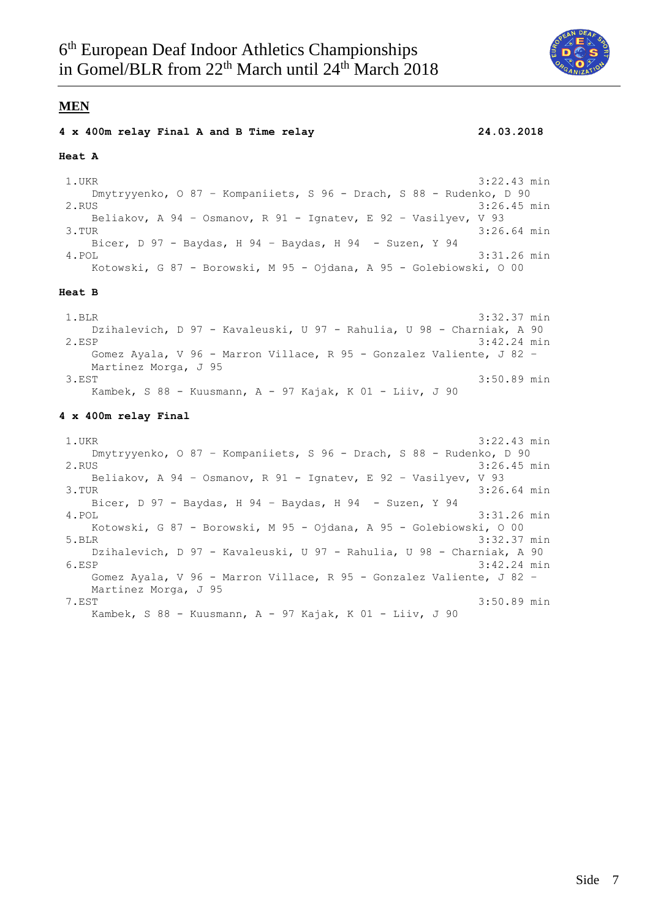

#### **4 x 400m relay Final A and B Time relay 24.03.2018**

#### **Heat A**

1.UKR 3:22.43 min Dmytryyenko, O 87 – Kompaniiets, S 96 - Drach, S 88 - Rudenko, D 90 2.RUS 3:26.45 min Beliakov, A 94 – Osmanov, R 91 - Ignatev, E 92 – Vasilyev, V 93 3.TUR 3:26.64 min Bicer, D 97 - Baydas, H 94 – Baydas, H 94 - Suzen, Y 94 4.POL 3:31.26 min Kotowski, G 87 - Borowski, M 95 - Ojdana, A 95 - Golebiowski, O 00

#### **Heat B**

1.BLR 3:32.37 min Dzihalevich, D 97 - Kavaleuski, U 97 - Rahulia, U 98 - Charniak, A 90 2.ESP 3:42.24 min Gomez Ayala, V 96 - Marron Villace, R 95 - Gonzalez Valiente, J 82 – Martinez Morga, J 95 3.EST 3:50.89 min Kambek, S 88 - Kuusmann, A - 97 Kajak, K 01 - Liiv, J 90

#### **4 x 400m relay Final**

1.UKR 3:22.43 min Dmytryyenko, O 87 – Kompaniiets, S 96 - Drach, S 88 - Rudenko, D 90 2.RUS 3:26.45 min Beliakov, A 94 – Osmanov, R 91 - Ignatev, E 92 – Vasilyev, V 93 3.TUR 3:26.64 min Bicer, D 97 - Baydas, H 94 – Baydas, H 94 - Suzen, Y 94 4.POL 3:31.26 min Kotowski, G 87 - Borowski, M 95 - Ojdana, A 95 - Golebiowski, O 00 5.BLR 3:32.37 min Dzihalevich, D 97 - Kavaleuski, U 97 - Rahulia, U 98 - Charniak, A 90 6.ESP 3:42.24 min Gomez Ayala, V 96 - Marron Villace, R 95 - Gonzalez Valiente, J 82 – Martinez Morga, J 95 7.EST 3:50.89 min Kambek, S 88 - Kuusmann, A - 97 Kajak, K 01 - Liiv, J 90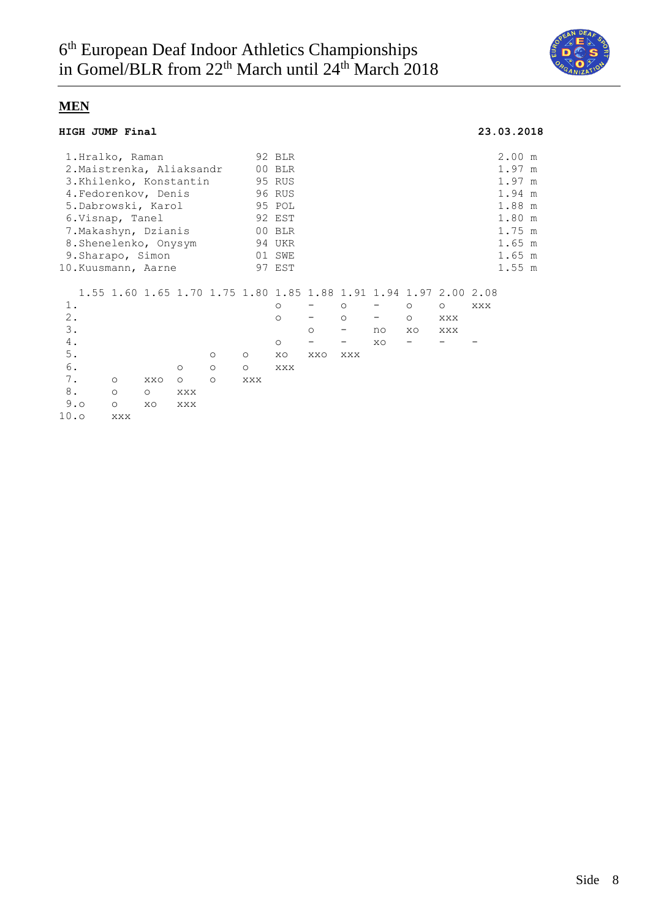

### **HIGH JUMP Final 23.03.2018**

|                           |  | 1.Hralko, Raman |                       |         |         |         | 92 BLR                                                           |                          |         |                          |         |         |     | 2.00 m   |  |
|---------------------------|--|-----------------|-----------------------|---------|---------|---------|------------------------------------------------------------------|--------------------------|---------|--------------------------|---------|---------|-----|----------|--|
| 2. Maistrenka, Aliaksandr |  |                 |                       |         |         |         | 00 BLR                                                           |                          |         |                          |         |         |     | 1.97 m   |  |
| 3.Khilenko, Konstantin    |  |                 |                       |         |         |         | 95 RUS                                                           |                          |         |                          |         |         |     | 1.97 m   |  |
|                           |  |                 | 4. Fedorenkov, Denis  |         |         |         | 96 RUS                                                           |                          |         |                          |         |         |     | 1.94 m   |  |
| 5.Dabrowski, Karol        |  |                 |                       |         |         |         | 95 POL                                                           |                          |         |                          |         |         |     | 1.88 m   |  |
|                           |  | 6.Visnap, Tanel |                       |         |         |         | 92 EST                                                           |                          |         |                          |         |         |     | 1.80 m   |  |
|                           |  |                 | 7.Makashyn, Dzianis   |         |         |         | 00 BLR                                                           |                          |         |                          |         |         |     | 1.75 m   |  |
|                           |  |                 | 8. Shenelenko, Onysym |         |         |         | 94 UKR                                                           |                          |         |                          |         |         |     | $1.65$ m |  |
|                           |  |                 | 9. Sharapo, Simon     |         |         |         | 01 SWE                                                           |                          |         |                          |         |         |     | $1.65$ m |  |
|                           |  |                 | 10.Kuusmann, Aarne    |         |         |         | 97 EST                                                           |                          |         |                          |         |         |     | 1.55 m   |  |
|                           |  |                 |                       |         |         |         |                                                                  |                          |         |                          |         |         |     |          |  |
|                           |  |                 |                       |         |         |         | 1.55 1.60 1.65 1.70 1.75 1.80 1.85 1.88 1.91 1.94 1.97 2.00 2.08 |                          |         |                          |         |         |     |          |  |
| 1.                        |  |                 |                       |         |         |         | $\circ$                                                          |                          | $\circ$ |                          | $\circ$ | $\circ$ | XXX |          |  |
| 2.                        |  |                 |                       |         |         |         | $\circ$                                                          |                          | $\circ$ | $\overline{\phantom{m}}$ | $\circ$ | XXX     |     |          |  |
| 3.                        |  |                 |                       |         |         |         |                                                                  | $\circ$                  | -       | no                       | XO      | XXX     |     |          |  |
| 4.                        |  |                 |                       |         |         |         | $\circ$                                                          | $\overline{\phantom{m}}$ | -       | XO                       | -       |         |     |          |  |
| $5$ .                     |  |                 |                       |         | $\circ$ | $\circ$ | XO                                                               | XXO                      | XXX     |                          |         |         |     |          |  |
| 6.                        |  |                 |                       | $\circ$ | $\circ$ | $\circ$ | XXX                                                              |                          |         |                          |         |         |     |          |  |
| 7.                        |  | $\circ$         | XXO                   | $\circ$ | $\circ$ | XXX     |                                                                  |                          |         |                          |         |         |     |          |  |
| 8.                        |  | $\circ$         | $\circ$               | XXX     |         |         |                                                                  |                          |         |                          |         |         |     |          |  |
| 9.0                       |  | $\circ$         | XO                    | XXX     |         |         |                                                                  |                          |         |                          |         |         |     |          |  |
| 10.0                      |  | XXX             |                       |         |         |         |                                                                  |                          |         |                          |         |         |     |          |  |
|                           |  |                 |                       |         |         |         |                                                                  |                          |         |                          |         |         |     |          |  |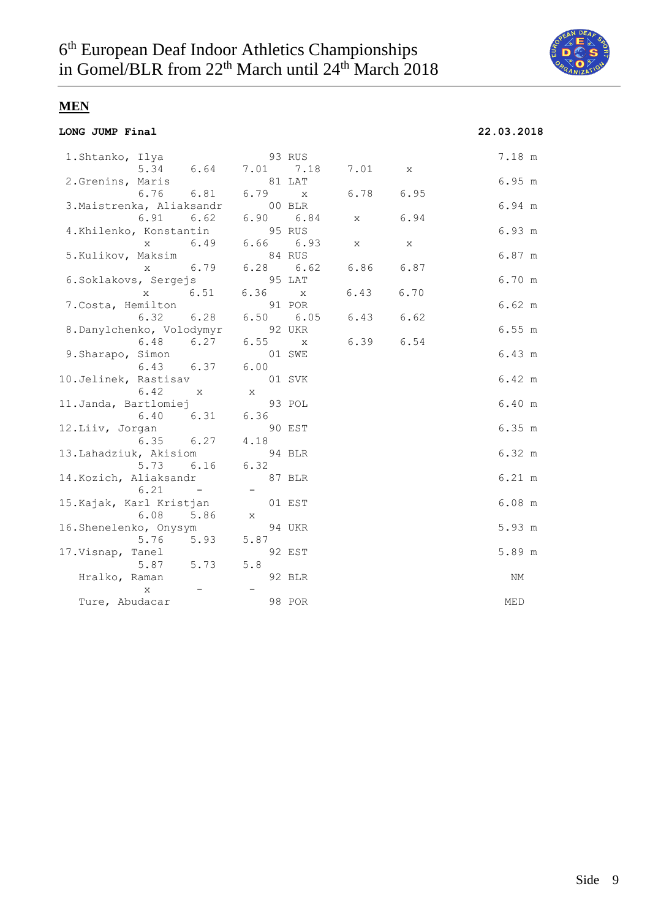

**LONG JUMP Final 22.03.2018**

# **MEN**

| 1.Shtanko, Ilya           |              | 93 RUS                   |              |                |              |     | 7.18 m           |
|---------------------------|--------------|--------------------------|--------------|----------------|--------------|-----|------------------|
|                           | 5.34 6.64    |                          |              | 7.01 7.18 7.01 | $\mathbf{X}$ |     |                  |
| 2.Grenins, Maris          |              | 81 LAT                   |              |                |              |     | 6.95 m           |
|                           | 6.76 6.81    | 6.79                     | $\mathbf{X}$ | 6.78           | 6.95         |     |                  |
| 3. Maistrenka, Aliaksandr |              | 00 BLR                   |              |                |              |     | 6.94 m           |
| 6.91                      | 6.62         | 6.90 6.84                |              | X              | 6.94         |     |                  |
| 4.Khilenko, Konstantin    |              | 95 RUS                   |              |                |              |     | 6.93 m           |
| $\mathbf{x}$              | 6.49         | 6.66 6.93                |              | X              | X            |     |                  |
| 5.Kulikov, Maksim         |              | 84 RUS                   |              |                |              |     | 6.87 m           |
| X                         | 6.79         | 6.28 6.62                |              | 6.86           | 6.87         |     |                  |
| 6.Soklakovs, Sergejs      |              | 95 LAT                   |              |                |              |     | 6.70 m           |
| X                         | 6.51         | 6.36 x                   |              | 6.43           | 6.70         |     |                  |
| 7. Costa, Hemilton        |              | 91 POR                   |              |                |              |     | 6.62 m           |
| 6.32                      | 6.28         | 6.50 6.05                |              | 6.43           | 6.62         |     |                  |
| 8.Danylchenko, Volodymyr  |              | 92 UKR                   |              |                |              |     | 6.55 m           |
| 6.48                      | 6.27         | 6.55 x                   |              | 6.39           | 6.54         |     |                  |
| 9. Sharapo, Simon         |              |                          | 01 SWE       |                |              |     | 6.43 m           |
| 6.43 6.37                 |              | 6.00                     |              |                |              |     |                  |
| 10.Jelinek, Rastisav      |              |                          | 01 SVK       |                |              |     | 6.42 m           |
| 6.42                      | $\mathbf{X}$ | $X -$                    |              |                |              |     |                  |
| 11.Janda, Bartlomiej      |              |                          | 93 POL       |                |              |     | 6.40 m           |
|                           | 6.40 6.31    | 6.36                     |              |                |              |     |                  |
| 12.Liiv, Jorgan           |              |                          | 90 EST       |                |              |     | 6.35 m           |
| 6.35                      | 6.27         | 4.18                     |              |                |              |     |                  |
| 13.Lahadziuk, Akisiom     |              |                          | 94 BLR       |                |              |     | 6.32 m           |
|                           | 5.73 6.16    | 6.32                     |              |                |              |     |                  |
| 14. Kozich, Aliaksandr    |              |                          | 87 BLR       |                |              |     | $6.21 \text{ m}$ |
| 6.21                      | $\sim$ $-$   | $\overline{\phantom{a}}$ |              |                |              |     |                  |
| 15.Kajak, Karl Kristjan   |              |                          | 01 EST       |                |              |     | $6.08$ m         |
| 6.08                      | 5.86         | X                        |              |                |              |     |                  |
| 16.Shenelenko, Onysym     |              |                          | 94 UKR       |                |              |     | 5.93 m           |
| 5.76                      | 5.93         | 5.87                     |              |                |              |     |                  |
| 17.Visnap, Tanel          |              |                          | 92 EST       |                |              |     | 5.89 m           |
| 5.87                      | 5.73         | 5.8                      |              |                |              |     |                  |
| Hralko, Raman             |              |                          | 92 BLR       |                |              |     | ΝM               |
| X                         |              |                          |              |                |              |     |                  |
| Ture, Abudacar            |              |                          | 98 POR       |                |              | MED |                  |
|                           |              |                          |              |                |              |     |                  |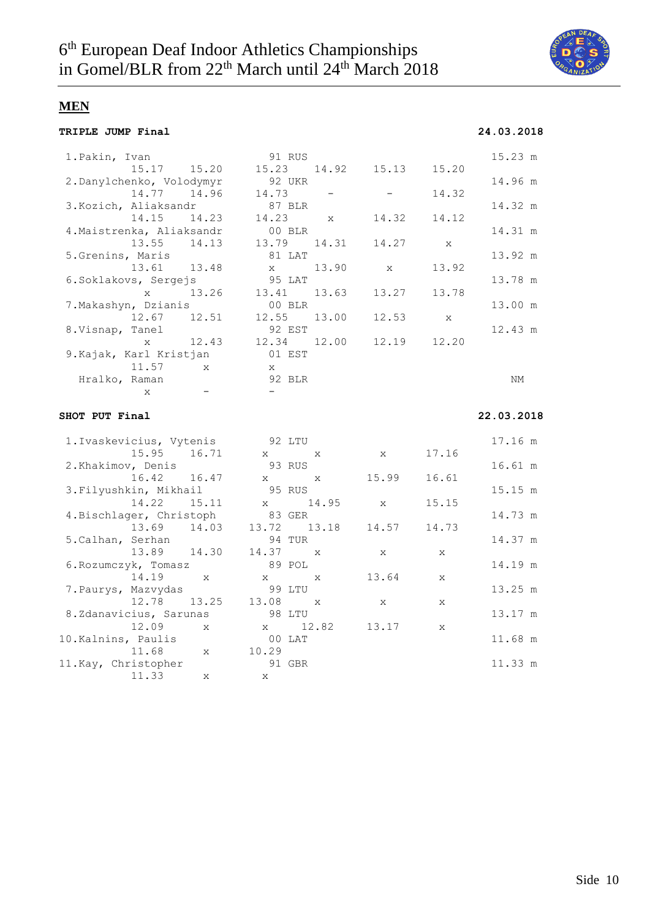

**TRIPLE JUMP Final 24.03.2018**

## **MEN**

| TRIPLE JUMP Final |  |
|-------------------|--|
|-------------------|--|

| 1. Pakin, Ivan                  | 91 RUS                |              |              | 15.23 m    |
|---------------------------------|-----------------------|--------------|--------------|------------|
| 15.17 15.20                     | 15.23<br>14.92        | 15.13        | 15.20        |            |
| 2. Danylchenko, Volodymyr       | 92 UKR                |              |              | 14.96 m    |
| 14.77 14.96                     | 14.73                 |              | 14.32        |            |
| 3. Kozich, Aliaksandr           | 87 BLR                |              |              | 14.32 m    |
| 14.15<br>14.23                  | 14.23<br>X            | 14.32        | 14.12        |            |
| 4. Maistrenka, Aliaksandr       | 00 BLR                |              |              | 14.31 m    |
| 13.55<br>14.13                  | 13.79<br>14.31        | 14.27        | X            |            |
| 5.Grenins, Maris                | 81 LAT                |              |              | 13.92 m    |
| 13.61<br>13.48                  | 13.90<br>X            | X            | 13.92        |            |
| 6. Soklakovs, Sergejs           | 95 LAT                |              |              | 13.78 m    |
| 13.26<br>$\mathbf{x}$           | 13.41<br>13.63        | 13.27        | 13.78        |            |
| 7. Makashyn, Dzianis            | 00 BLR                |              |              | 13.00 m    |
| 12.67<br>12.51                  | 12.55<br>13.00        | 12.53        | X            |            |
| 8. Visnap, Tanel                | 92 EST                |              |              | 12.43 m    |
| 12.43<br>$\mathbf{x}$           | 12.34<br>12.00        | 12.19        | 12.20        |            |
| 9. Kajak, Karl Kristjan         | $01$ EST              |              |              |            |
| 11.57<br>$\mathbf{x}$           | X                     |              |              |            |
| Hralko, Raman                   | 92 BLR                |              |              | NΜ         |
| X                               | $ \,$                 |              |              |            |
|                                 |                       |              |              |            |
| SHOT PUT Final                  |                       |              |              | 22.03.2018 |
|                                 |                       |              |              |            |
| 1. Ivaskevicius, Vytenis        | 92 LTU                |              |              | 17.16 m    |
| 15.95 16.71                     | $X =$<br>X            | $\mathbf{x}$ | 17.16        |            |
| 2. Khakimov, Denis              | 93 RUS                |              |              | 16.61 m    |
| 16.42<br>16.47                  | $X -$<br>X            | 15.99        | 16.61        |            |
| 3. Filyushkin, Mikhail          | 95 RUS                |              |              | 15.15 m    |
| 14.22<br>15.11                  | 14.95<br>$X -$        | $\mathbf{x}$ | 15.15        |            |
| 4. Bischlager, Christoph        | 83 GER                |              |              | 14.73 m    |
| 13.69<br>14.03                  | 13.72<br>13.18        | 14.57        | 14.73        |            |
| 5. Calhan, Serhan               | 94 TUR                |              |              | 14.37 m    |
| 13.89<br>14.30                  | 14.37<br>$\mathbf{x}$ | X            | X            |            |
| 6. Rozumczyk, Tomasz            | 89 POL                |              |              | 14.19 m    |
| 14.19<br>$\mathbf{x}$           | $X -$<br>X            | 13.64        | $\mathbf{x}$ |            |
|                                 |                       |              |              |            |
| 7. Paurys, Mazvydas             | 99 LTU                |              |              | 13.25 m    |
| 12.78<br>13.25                  | 13.08<br>$\mathbf{x}$ | X            | X            |            |
| 8.Zdanavicius, Sarunas<br>12.09 | 98 LTU<br>12.82       | 13.17        |              | 13.17 m    |

10.Kalnins, Paulis 00 LAT 11.68 m

11.Kay, Christopher 91 GBR 11.33 m

11.68 x 10.29

11.33 x x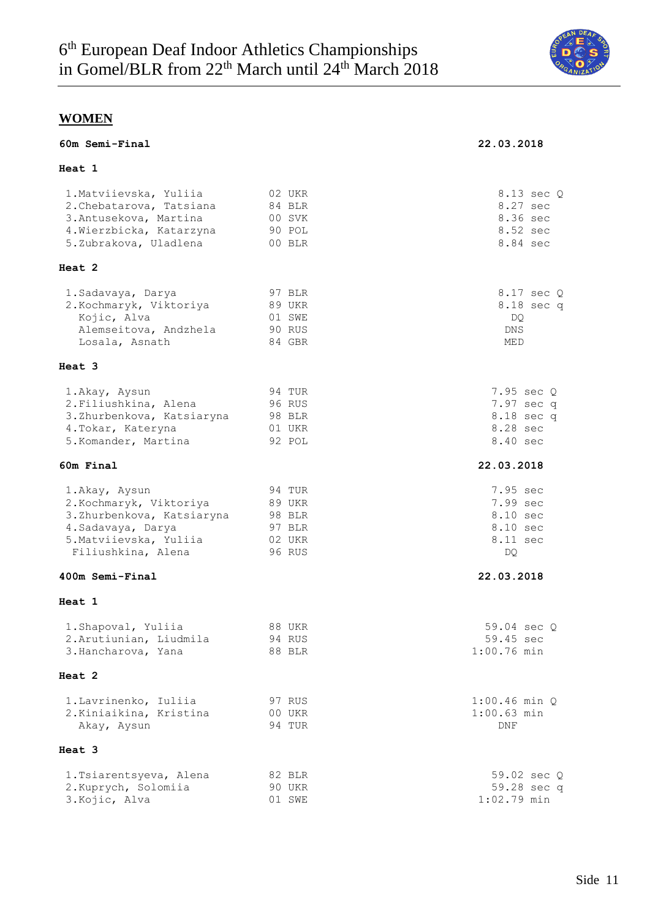

**60m Semi-Final 22.03.2018**

## **WOMEN**

|  | 60m Semi-Final |
|--|----------------|
|--|----------------|

### **Heat 1**

| neal 1                                                                                                                                      |                                                          |                                                                 |
|---------------------------------------------------------------------------------------------------------------------------------------------|----------------------------------------------------------|-----------------------------------------------------------------|
| 1. Matviievska, Yuliia<br>2. Chebatarova, Tatsiana<br>3. Antusekova, Martina<br>4. Wierzbicka, Katarzyna<br>5.Zubrakova, Uladlena           | 02 UKR<br>84 BLR<br>00 SVK<br>90 POL<br>00 BLR           | 8.13 sec Q<br>8.27 sec<br>8.36 sec<br>8.52 sec<br>8.84 sec      |
| Heat 2                                                                                                                                      |                                                          |                                                                 |
| 1. Sadavaya, Darya<br>2. Kochmaryk, Viktoriya<br>Kojic, Alva<br>Alemseitova, Andzhela<br>Losala, Asnath                                     | 97 BLR<br>89 UKR<br>01 SWE<br>90 RUS<br>84 GBR           | 8.17 sec Q<br>8.18 sec q<br>DQ.<br>DNS<br>MED                   |
| Heat 3                                                                                                                                      |                                                          |                                                                 |
| 1.Akay, Aysun<br>2. Filiushkina, Alena<br>3. Zhurbenkova, Katsiaryna<br>4. Tokar, Kateryna<br>5. Komander, Martina                          | 94 TUR<br>96 RUS<br>98 BLR<br>01 UKR<br>92 POL           | 7.95 sec Q<br>7.97 sec q<br>8.18 sec q<br>8.28 sec<br>8.40 sec  |
| 60m Final                                                                                                                                   |                                                          | 22.03.2018                                                      |
| 1.Akay, Aysun<br>2. Kochmaryk, Viktoriya<br>3.Zhurbenkova, Katsiaryna<br>4. Sadavaya, Darya<br>5. Matviievska, Yuliia<br>Filiushkina, Alena | 94 TUR<br>89 UKR<br>98 BLR<br>97 BLR<br>02 UKR<br>96 RUS | 7.95 sec<br>7.99 sec<br>8.10 sec<br>8.10 sec<br>8.11 sec<br>DQ. |
| 400m Semi-Final                                                                                                                             |                                                          | 22.03.2018                                                      |
| Heat 1                                                                                                                                      |                                                          |                                                                 |
| 1. Shapoval, Yuliia<br>2. Arutiunian, Liudmila<br>3. Hancharova, Yana                                                                       | 88 UKR<br>94 RUS<br>88 BLR                               | 59.04 sec O<br>59.45 sec<br>$1:00.76$ min                       |
| Heat 2                                                                                                                                      |                                                          |                                                                 |
| 1. Lavrinenko, Iuliia<br>2. Kiniaikina, Kristina<br>Akay, Aysun                                                                             | 97 RUS<br>00 UKR<br>94 TUR                               | $1:00.46$ min $O$<br>$1:00.63$ min<br>DNF                       |
| Heat 3                                                                                                                                      |                                                          |                                                                 |
| 1. Tsiarentsyeva, Alena<br>2. Kuprych, Solomiia                                                                                             | 82 BLR<br>90 UKR                                         | 59.02 sec Q<br>59.28 sec q                                      |

3. Kojic, Alva 1:02.79 min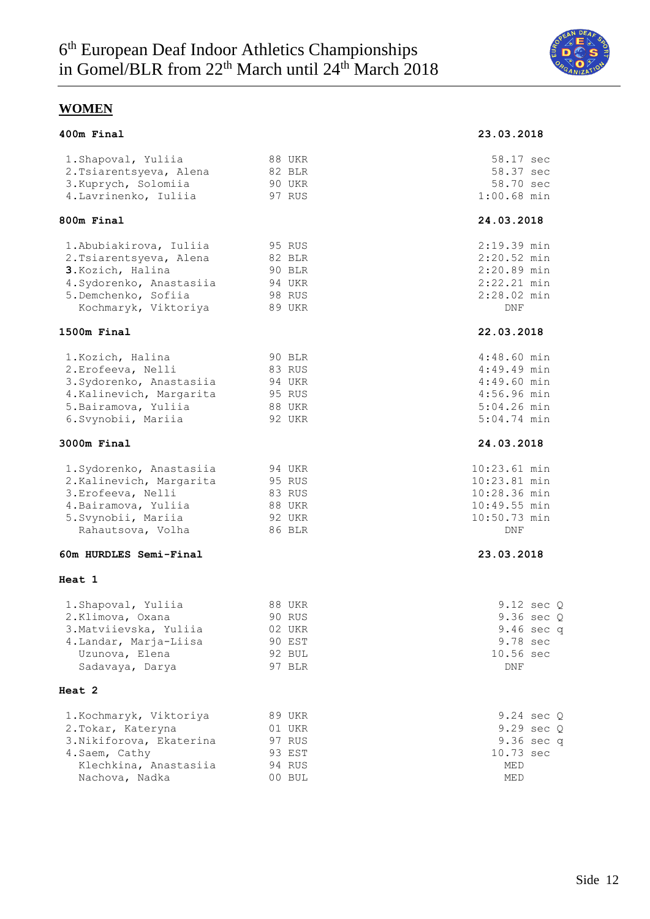

### **WOMEN**

#### **400m Final 23.03.2018**

#### 1.Shapoval, Yuliia 88 UKR 58.17 sec 2.Tsiarentsyeva, Alena 82 BLR 58.37 sec 3.Kuprych, Solomiia 90 UKR 58.70 sec 4.Lavrinenko, Iuliia 97 RUS 1:00.68 min

#### **800m Final 24.03.2018**

| 1. Abubiakirova, Iuliia  | 95 RUS | 2:19.39 min |
|--------------------------|--------|-------------|
| 2. Tsiarentsyeva, Alena  | 82 BLR | 2:20.52 min |
| 3. Kozich, Halina        | 90 BLR | 2:20.89 min |
| 4. Sydorenko, Anastasiia | 94 UKR | 2:22.21 min |
| 5.Demchenko, Sofiia      | 98 RUS | 2:28.02 min |
| Kochmaryk, Viktoriya     | 89 UKR | DNF         |

#### **1500m Final 22.03.2018**

| 1. Kozich, Halina        | 90 BLR | 4:48.60 min |
|--------------------------|--------|-------------|
| 2. Erofeeva, Nelli       | 83 RUS | 4:49.49 min |
| 3. Sydorenko, Anastasiia | 94 UKR | 4:49.60 min |
| 4. Kalinevich, Margarita | 95 RUS | 4:56.96 min |
| 5. Bairamova, Yuliia     | 88 UKR | 5:04.26 min |
| 6.Svynobii, Mariia       | 92 UKR | 5:04.74 min |

#### **3000m Final 24.03.2018**

| 1. Sydorenko, Anastasiia | 94 UKR | 10:23.61 min   |
|--------------------------|--------|----------------|
| 2. Kalinevich, Margarita | 95 RUS | 10:23.81 min   |
| 3.Erofeeva, Nelli        | 83 RUS | 10:28.36 min   |
| 4. Bairamova, Yuliia     | 88 UKR | $10:49.55$ min |
| 5. Svynobii, Mariia      | 92 UKR | 10:50.73 min   |
| Rahautsova, Volha        | 86 BLR | DNF            |

#### **60m HURDLES Semi-Final 23.03.2018**

#### **Heat 1**

| 1. Shapoval, Yuliia    | 88 UKR | 9.12 sec Q          |  |
|------------------------|--------|---------------------|--|
| 2.Klimova, Oxana       | 90 RUS | 9.36 sec C          |  |
| 3. Matviievska, Yuliia | 02 UKR | 9.46 sec o          |  |
| 4. Landar, Marja-Liisa | 90 EST | 9.78 sec            |  |
| Uzunova, Elena         | 92 BUL | $10.56 \text{ sec}$ |  |
| Sadavaya, Darya        | 97 BLR | <b>DNF</b>          |  |

#### **Heat 2**

| 1. Kochmaryk, Viktoriya  | 89 UKR | 9.24 sec C |
|--------------------------|--------|------------|
| 2. Tokar, Kateryna       | 01 UKR | 9.29 sec C |
| 3. Nikiforova, Ekaterina | 97 RUS | 9.36 sec o |
| 4.Saem, Cathy            | 93 EST | 10.73 sec  |
| Klechkina, Anastasiia    | 94 RUS | MED        |
| Nachova, Nadka           | 00 BUL | <b>MED</b> |

|  |  |  | sec          | Q                                                                                                                                                                                                                                                                                                                                                                                                                                                                                                                        |
|--|--|--|--------------|--------------------------------------------------------------------------------------------------------------------------------------------------------------------------------------------------------------------------------------------------------------------------------------------------------------------------------------------------------------------------------------------------------------------------------------------------------------------------------------------------------------------------|
|  |  |  | sec          | Q                                                                                                                                                                                                                                                                                                                                                                                                                                                                                                                        |
|  |  |  |              | q                                                                                                                                                                                                                                                                                                                                                                                                                                                                                                                        |
|  |  |  | sec          |                                                                                                                                                                                                                                                                                                                                                                                                                                                                                                                          |
|  |  |  | 10.56<br>DNF | 58.37 sec<br>58.70 sec<br>$1:00.68$ min<br>24.03.2018<br>2:19.39 min<br>$2:20.52$ min<br>$2:20.89$ min<br>2:22.21 min<br>$2:28.02$ min<br><b>DNF</b><br>22.03.2018<br>$4:48.60$ min<br>$4:49.49$ min<br>$4:49.60$ min<br>$4:56.96$ min<br>$5:04.26$ min<br>$5:04.74$ min<br>24.03.2018<br>10:23.61 min<br>10:23.81 min<br>10:28.36 min<br>$10:49.55$ min<br>10:50.73 min<br>DNF<br>23.03.2018<br>$9.12 \text{ sec } Q$<br>$9.36 \text{ sec } Q$<br>9.46 sec q<br>9.78 sec<br>sec<br>9.24<br>9.29<br>9.36<br>sec<br>10.73 |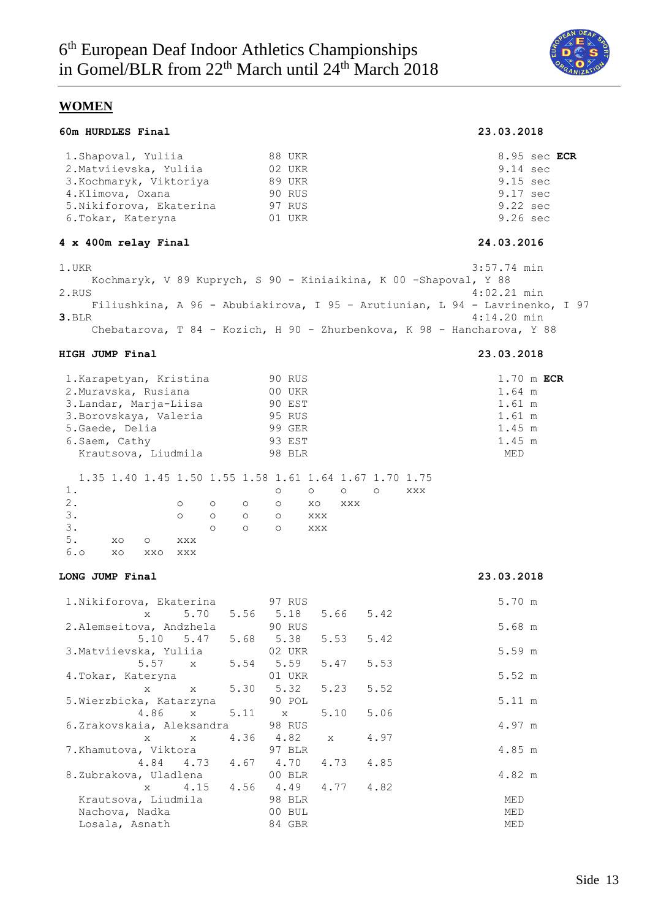

### **WOMEN**

#### **60m HURDLES Final 23.03.2018**

| 1. Shapoval, Yuliia      | 88 UKR        | 8.95 sec ECR       |
|--------------------------|---------------|--------------------|
| 2. Matviievska, Yuliia   | 02 UKR        | $9.14 \text{ sec}$ |
| 3. Kochmaryk, Viktoriya  | 89 UKR        | $9.15 \text{ sec}$ |
| 4.Klimova, Oxana         | <b>90 RUS</b> | $9.17 \text{ sec}$ |
| 5. Nikiforova, Ekaterina | 97 RUS        | 9.22 sec           |
| 6.Tokar, Kateryna        | 01 UKR        | $9.26 \text{ sec}$ |
|                          |               |                    |

#### **4 x 400m relay Final 24.03.2016**

1.UKR 3:57.74 min Kochmaryk, V 89 Kuprych, S 90 - Kiniaikina, K 00 –Shapoval, Y 88 2.RUS 4:02.21 min Filiushkina, A 96 - Abubiakirova, I 95 – Arutiunian, L 94 - Lavrinenko, I 97 **3.**BLR 4:14.20 min Chebatarova, T 84 - Kozich, H 90 - Zhurbenkova, K 98 - Hancharova, Y 88

#### **HIGH JUMP Final 23.03.2018**

| 1. Karapetyan, Kristina                                |         |         |         | 90 RUS  |            |         |         |     |        | $1.70$ m ECR |
|--------------------------------------------------------|---------|---------|---------|---------|------------|---------|---------|-----|--------|--------------|
| 2. Muravska, Rusiana                                   |         |         |         | 00 UKR  |            |         |         |     | 1.64 m |              |
| 3. Landar, Marja-Liisa                                 |         |         |         | 90 EST  |            |         |         |     | 1.61 m |              |
| 3. Borovskaya, Valeria                                 |         |         |         | 95 RUS  |            |         |         |     | 1.61 m |              |
| 5.Gaede, Delia                                         |         |         |         | 99 GER  |            |         |         |     | 1.45 m |              |
| 6. Saem, Cathy                                         |         |         |         | 93 EST  |            |         |         |     | 1.45 m |              |
| Krautsova, Liudmila                                    |         |         |         | 98 BLR  |            |         |         |     | MED    |              |
|                                                        |         |         |         |         |            |         |         |     |        |              |
| 1.35 1.40 1.45 1.50 1.55 1.58 1.61 1.64 1.67 1.70 1.75 |         |         |         |         |            |         |         |     |        |              |
| 1.                                                     |         |         |         | $\circ$ | $\circ$    | $\circ$ | $\circ$ | XXX |        |              |
| $2$ .                                                  | $\circ$ | $\circ$ | $\circ$ | $\circ$ | XO         | XXX     |         |     |        |              |
| 3.                                                     | $\circ$ | $\circ$ | $\circ$ | $\circ$ | XXX        |         |         |     |        |              |
| 3.                                                     |         | $\circ$ | $\circ$ | $\circ$ | <b>XXX</b> |         |         |     |        |              |
| 5.<br>XO<br>$\circ$                                    | XXX     |         |         |         |            |         |         |     |        |              |
| 6.0<br>XO<br>XXO                                       | XXX     |         |         |         |            |         |         |     |        |              |

#### **LONG JUMP Final 23.03.2018**

| 1.Nikiforova, Ekaterina           |  | 97 RUS                   |        | 5.70 m           |
|-----------------------------------|--|--------------------------|--------|------------------|
| $\mathbf x$ and $\mathbf x$       |  | 5.70 5.56 5.18 5.66 5.42 |        |                  |
| 2.Alemseitova, Andzhela           |  | <b>90 RUS</b>            |        | 5.68 m           |
| 5.10 5.47 5.68 5.38 5.53 5.42     |  |                          |        |                  |
| 3. Matviievska, Yuliia            |  | 02 UKR                   |        | $5.59$ m         |
| 5.57 x 5.54 5.59 5.47 5.53        |  |                          |        |                  |
| 4.Tokar, Kateryna                 |  | 01 UKR                   |        | $5.52 \text{ m}$ |
| x x 5.30 5.32 5.23 5.52           |  |                          |        |                  |
| 5. Wierzbicka, Katarzyna 90 POL   |  |                          |        | $5.11 \text{ m}$ |
| 4.86 x 5.11 x 5.10 5.06           |  |                          |        |                  |
| 6.Zrakovskaia, Aleksandra 198 RUS |  |                          |        | 4.97 m           |
| x x 4.36 4.82 x 4.97              |  |                          |        |                  |
| 7.Khamutova, Viktora 97 BLR       |  |                          | 4.85 m |                  |
| 4.84 4.73 4.67 4.70 4.73 4.85     |  |                          |        |                  |
| 8.Zubrakova, Uladlena (00 BLR)    |  |                          |        | 4.82 m           |
| x 4.15 4.56 4.49 4.77 4.82        |  |                          |        |                  |
| Krautsova, Liudmila 98 BLR        |  |                          |        | MED              |
| Nachova, Nadka                    |  | 00 BUL                   |        | MED              |
| Losala, Asnath                    |  | 84 GBR                   |        | MED              |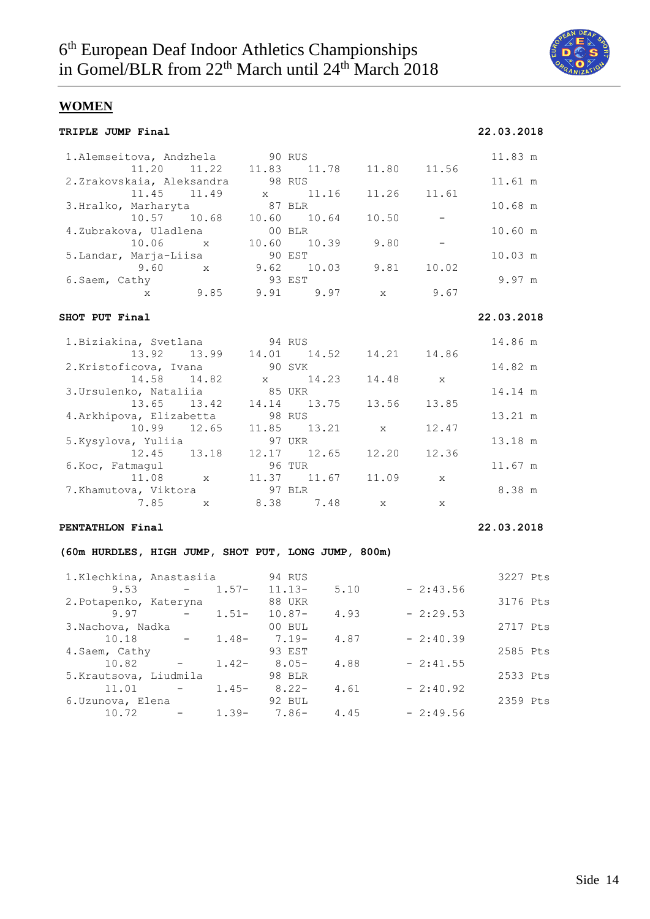

## **WOMEN**

| <b>TRIPLE JUMP Final</b>                                                                                                        |                |                         |              |              | 22.03.2018 |
|---------------------------------------------------------------------------------------------------------------------------------|----------------|-------------------------|--------------|--------------|------------|
| 1. Alemseitova, Andzhela 90 RUS<br>11.20<br>11.22                                                                               |                | 11.83 11.78             | 11.80        | 11.56        | 11.83 m    |
| 2.Zrakovskaia, Aleksandra                                                                                                       |                | 98 RUS                  |              |              | 11.61 m    |
| 11.45<br>11.49                                                                                                                  | $\mathbf{x}$   | 11.16                   | 11.26        | 11.61        |            |
| 3.Hralko, Marharyta                                                                                                             |                | 87 BLR                  |              |              | 10.68 m    |
| 10.57 10.68                                                                                                                     |                | 10.60 10.64             | 10.50        |              |            |
| 4.Zubrakova, Uladlena                                                                                                           | $00$ BLR       |                         |              |              | 10.60 m    |
| $10.06$ x                                                                                                                       | 10.60          | 10.39                   | 9.80         | $-$          |            |
| 5.Landar, Marja-Liisa<br>$9.60 \times$                                                                                          | 90 EST<br>9.62 | 10.03                   | 9.81         | 10.02        | 10.03 m    |
| 6.Saem, Cathy                                                                                                                   |                | 93 EST                  |              |              | 9.97 m     |
| x 9.85                                                                                                                          |                | $9.91$ $9.97$           | $\mathbf{x}$ | 9.67         |            |
| SHOT PUT Final                                                                                                                  |                |                         |              |              | 22.03.2018 |
| 1. Biziakina, Svetlana                                                                                                          | 94 RUS         |                         |              |              | 14.86 m    |
| 13.92 13.99                                                                                                                     |                | 14.01 14.52             | 14.21        | 14.86        |            |
| 2. Kristoficova, Ivana                                                                                                          |                | 90 SVK                  |              |              | 14.82 m    |
| 14.58<br>14.82                                                                                                                  | $\mathbf X$    | 14.23                   | 14.48        | X            |            |
| 3. Ursulenko, Nataliia<br>13.65<br>13.42                                                                                        |                | 85 UKR<br>14.14   13.75 | 13.56        | 13.85        | 14.14 m    |
| 4. Arkhipova, Elizabetta                                                                                                        |                | 98 RUS                  |              |              | 13.21 m    |
| 10.99<br>12.65                                                                                                                  | 11.85          | 13.21                   | X            | 12.47        |            |
| 5.Kysylova, Yuliia                                                                                                              |                | 97 UKR                  |              |              | 13.18 m    |
| 12.45<br>13.18                                                                                                                  |                | 12.17 12.65             | 12.20        | 12.36        |            |
| 6. Koc, Fatmagul                                                                                                                |                | 96 TUR                  |              |              | 11.67 m    |
| $\mathbf x$<br>11.08                                                                                                            |                | 11.37 11.67             | 11.09        | X            |            |
| 7.Khamutova, Viktora                                                                                                            |                | 97 BLR                  |              |              | 8.38 m     |
| 7.85<br>$\mathbbm{X}$                                                                                                           |                | 8.38 7.48               | $\mathbf{X}$ | $\mathbf{x}$ |            |
| PENTATHLON Final                                                                                                                |                |                         |              |              | 22.03.2018 |
| (60m HURDLES, HIGH JUMP, SHOT PUT, LONG JUMP, 800m)                                                                             |                |                         |              |              |            |
| 1.Klechkina, Anastasiia                                                                                                         |                | 94 RUS                  |              |              | 3227 Pts   |
| 9.53<br><b>Contract Contract Contract</b>                                                                                       | $1.57-$        | $11.13-$<br>5.10        |              | $-2:43.56$   |            |
| 2. Potapenko, Kateryna                                                                                                          |                | 88 UKR                  |              |              | 3176 Pts   |
| 9.97<br>$1.51-$<br>$\sim 100$ km s $^{-1}$                                                                                      |                | $10.87 -$<br>4.93       |              | $-2:29.53$   |            |
| 3.Nachova, Nadka                                                                                                                |                | 00 BUL                  |              |              | 2717 Pts   |
| 10.18<br>$\mathcal{L}_{\text{max}}$ and $\mathcal{L}_{\text{max}}$ . The $\mathcal{L}_{\text{max}}$<br>$1.48-$<br>4.Saem, Cathy | $7.19-$        | 4.87<br>93 EST          |              | $-2:40.39$   | 2585 Pts   |
|                                                                                                                                 |                |                         |              |              |            |

10.82 - 1.42- 8.05- 4.88 - 2:41.55

11.01 - 1.45- 8.22- 4.61 - 2:40.92

10.72 - 1.39- 7.86- 4.45 - 2:49.56

5.Krautsova, Liudmila 98 BLR 2533 Pts

6.Uzunova, Elena 92 BUL 2359 Pts